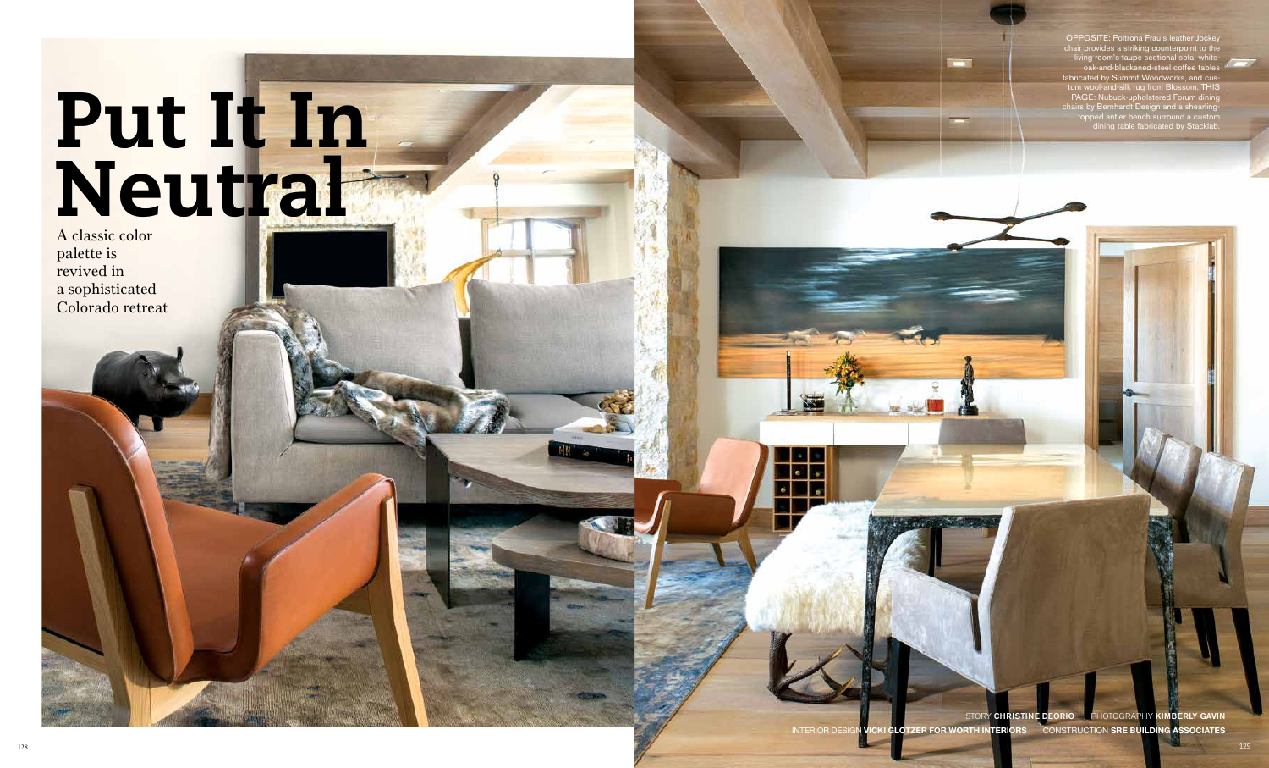## Put It In Neutral

A classic color palette is revived in a sophisticated Colorado retreat

STORY CHRISTINE DEORIO PHOTOGRAPHY KIMBERLY GAVIN INTERIOR DESIGN **VICKI GLOTZER FOR WORTH INTERIORS** CONSTRUCTION **SRE BUILDING ASSOCIATES**

OPPOSITE: Poltrona Frau's leather Jockey chair provides a striking counterpoint to the living room's taupe sectional sofa, whiteoak-and-blackened-steel coffee tables fabricated by Summit Woodworks, and custom wool-and-silk rug from Blossom. THIS PAGE: Nubuck-upholstered Forum dining chairs by Bernhardt Design and a shearlingtopped antler bench surround a custom dining table fabricated by Stacklab.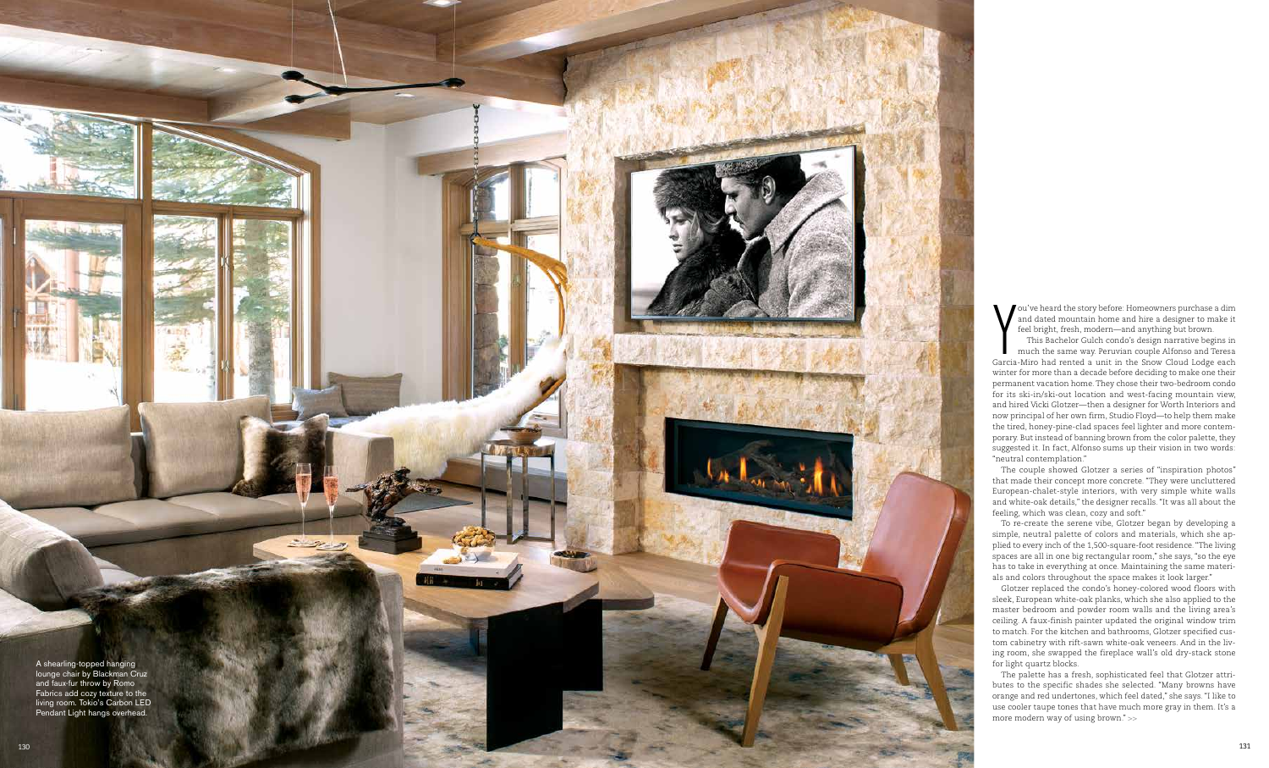This Bachelor Gulch condo's design narrative begins in much the same way. Peruvian couple Alfonso and Teresa Garcia-Miro had rented a unit in the Snow Cloud Lodge each winter for more than a decade before deciding to make one their permanent vacation home. They chose their two-bedroom condo for its ski-in/ski-out location and west-facing mountain view, and hired Vicki Glotzer—then a designer for Worth Interiors and now principal of her own firm, Studio Floyd—to help them make the tired, honey-pine-clad spaces feel lighter and more contem porary. But instead of banning brown from the color palette, they suggested it. In fact, Alfonso sums up their vision in two words: "neutral contemplation."  $\blacksquare$  and dated mountain home and feel bright, fresh, modern—and This Bachelor Gulch condo's much the same way, Peravian condo's carcia-Miro had rended a unit in the winter for more than a decade before permanent vacatio

ou've heard the story before: Homeowners purchase a dim and dated mountain home and hire a designer to make it feel bright, fresh, modern—and anything but brown.

The couple showed Glotzer a series of "inspiration photos" that made their concept more concrete. "They were uncluttered European-chalet-style interiors, with very simple white walls and white-oak details," the designer recalls. "It was all about the feeling, which was clean, cozy and soft."

To re-create the serene vibe, Glotzer began by developing a simple, neutral palette of colors and materials, which she ap plied to every inch of the 1,500-square-foot residence. "The living spaces are all in one big rectangular room," she says, "so the eye has to take in everything at once. Maintaining the same materi als and colors throughout the space makes it look larger."

Glotzer replaced the condo's honey-colored wood floors with sleek, European white-oak planks, which she also applied to the master bedroom and powder room walls and the living area's ceiling. A faux-finish painter updated the original window trim to match. For the kitchen and bathrooms, Glotzer specified cus tom cabinetry with rift-sawn white-oak veneers. And in the liv ing room, she swapped the fireplace wall's old dry-stack stone for light quartz blocks.

The palette has a fresh, sophisticated feel that Glotzer attri butes to the specific shades she selected. "Many browns have orange and red undertones, which feel dated," she says. "I like to use cooler taupe tones that have much more gray in them. It's a

A shearling-topped hanging lounge chair by Blackman Cruz and faux-fur throw by Romo Fabrics add cozy texture to the living room. Tokio's Carbon LED Pendant Light hangs overhead.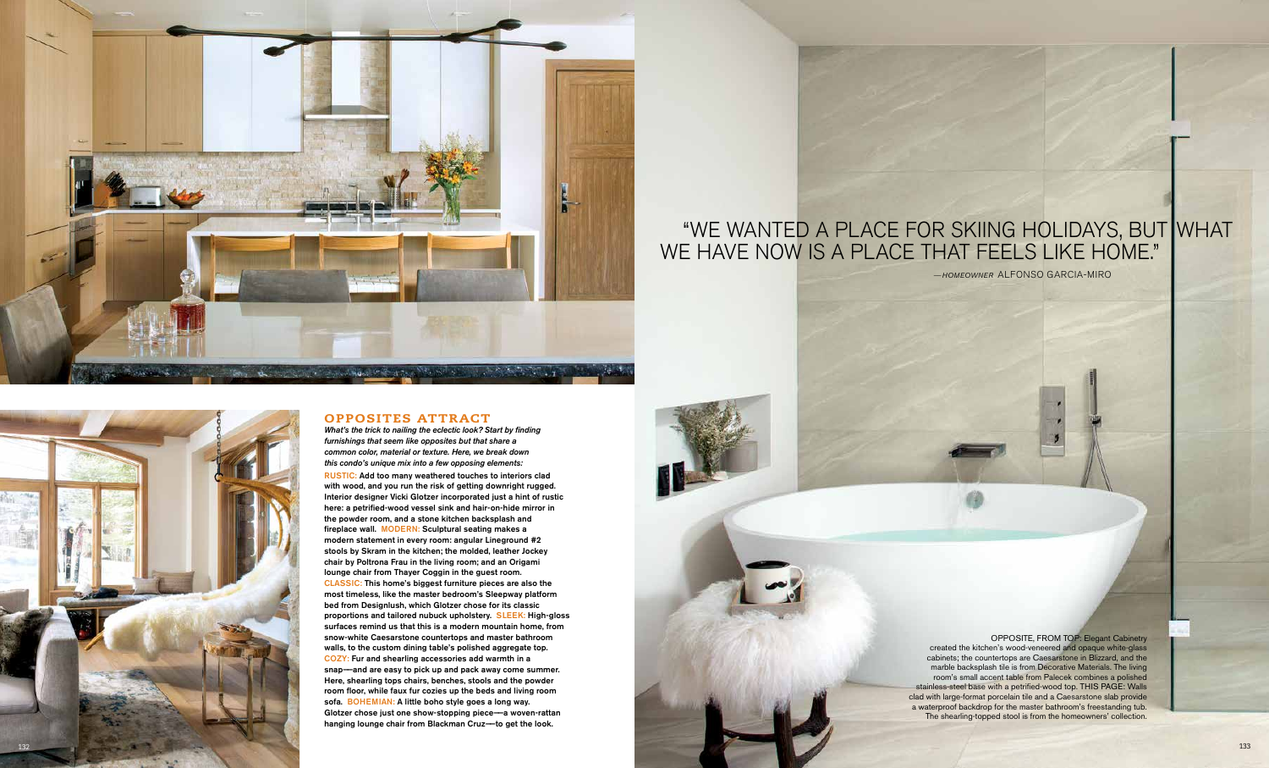OPPOSITE, FROM TOP: Elegant Cabinetry

created the kitchen's wood-veneered and opaque white-glass cabinets; the countertops are Caesarstone in Blizzard, and the marble backsplash tile is from Decorative Materials. The living room's small accent table from Palecek combines a polished stainless-steel base with a petrified-wood top. THIS PAGE: Walls clad with large-format porcelain tile and a Caesarstone slab provide a waterproof backdrop for the master bathroom's freestanding tub. The shearling-topped stool is from the homeowners' collection.

*What's the trick to nailing the eclectic look? Start by finding furnishings that seem like opposites but that share a common color, material or texture. Here, we break down this condo's unique mix into a few opposing elements:* RUSTIC: Add too many weathered touches to interiors clad with wood, and you run the risk of getting downright rugged. Interior designer Vicki Glotzer incorporated just a hint of rustic here: a petrified-wood vessel sink and hair-on-hide mirror in the powder room, and a stone kitchen backsplash and fireplace wall. MODERN: Sculptural seating makes a modern statement in every room: angular Lineground #2 stools by Skram in the kitchen; the molded, leather Jockey chair by Poltrona Frau in the living room; and an Origami lounge chair from Thayer Coggin in the guest room. CLASSIC: This home's biggest furniture pieces are also the most timeless, like the master bedroom's Sleepway platform bed from Designlush, which Glotzer chose for its classic proportions and tailored nubuck upholstery. SLEEK: High-gloss surfaces remind us that this is a modern mountain home, from snow-white Caesarstone countertops and master bathroom walls, to the custom dining table's polished aggregate top. COZY: Fur and shearling accessories add warmth in a snap——and are easy to pick up and pack away come summer. Here, shearling tops chairs, benches, stools and the powder room floor, while faux fur cozies up the beds and living room sofa. BOHEMIAN: A little boho style goes a long way. Glotzer chose just one show-stopping piece——a woven-rattan hanging lounge chair from Blackman Cruz——to get the look.

## OPPOSITES ATTRACT





## "WE WANTED A PLACE FOR SKIING HOLIDAYS, BUT WHAT WE HAVE NOW IS A PLACE THAT FEELS LIKE HOME."

——*HOMEOWNER* ALFONSO GARCIA-MIRO